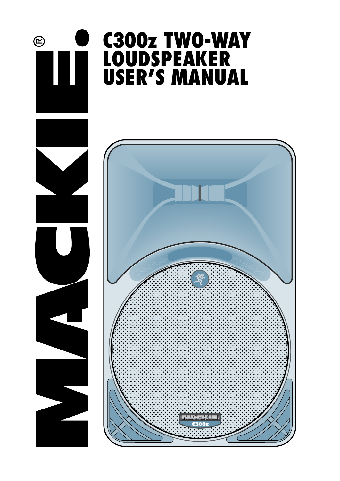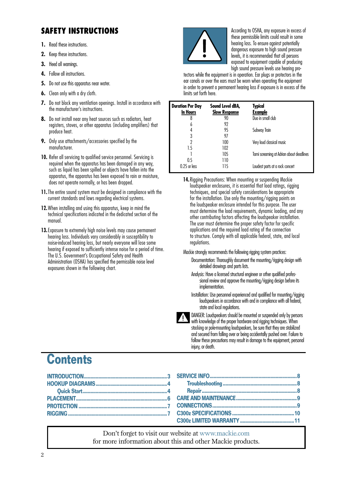# **SAFETY INSTRUCTIONS According to OSHA, any exposure in excess of**

- **1.** Read these instructions.
- **2.** Keep these instructions.
- **3.** Heed all warnings.
- **4.** Follow all instructions.
- **5.** Do not use this apparatus near water.
- **6.** Clean only with a dry cloth.
- **7.** Do not block any ventilation openings. Install in accordance with the manufacturer's instructions.
- **8.** Do not install near any heat sources such as radiators, heat registers, stoves, or other apparatus (including amplifiers) that produce heat.
- **9.** Only use attachments/accessories specified by the manufacturer.
- **10.** Refer all servicing to qualified service personnel. Servicing is required when the apparatus has been damaged in any way, such as liquid has been spilled or objects have fallen into the apparatus, the apparatus has been exposed to rain or moisture, does not operate normally, or has been dropped.
- **11.**The entire sound system must be designed in compliance with the current standards and laws regarding electrical systems.
- **12.**When installing and using this apparatus, keep in mind the technical specifications indicated in the dedicated section of the manual.
- **13.**Exposure to extremely high noise levels may cause permanent hearing loss. Individuals vary considerably in susceptibility to noise-induced hearing loss, but nearly everyone will lose some hearing if exposed to sufficiently intense noise for a period of time. The U.S. Government's Occupational Safety and Health Administration (OSHA) has specified the permissible noise level exposures shown in the following chart.



these permissible limits could result in some hearing loss. To ensure against potentially dangerous exposure to high sound pressure levels, it is recommended that all persons exposed to equipment capable of producing high sound pressure levels use hearing pro-

tectors while the equipment is in operation. Ear plugs or protectors in the ear canals or over the ears must be worn when operating the equipment in order to prevent a permanent hearing loss if exposure is in excess of the limits set forth here.

| <b>Duration Per Day</b><br>In Hours | Sound Level dBA,<br><b>Slow Response</b> | <b>Typical</b><br><b>Example</b>         |
|-------------------------------------|------------------------------------------|------------------------------------------|
| 8                                   | 90                                       | Duo in small club                        |
| 6                                   | 97                                       |                                          |
| 4                                   | 95                                       | Subway Train                             |
| 3                                   | 97                                       |                                          |
| 2                                   | 100                                      | Very loud classical music                |
| 1.5                                 | 102                                      |                                          |
|                                     | 105                                      | Tami screaming at Adrian about deadlines |
| 0.5                                 | 110                                      |                                          |
| 0.25 or less                        | 115                                      | Loudest parts at a rock concert          |

- **14.**Rigging Precautions: When mounting or suspending Mackie loudspeaker enclosures, it is essential that load ratings, rigging techniques, and special safety considerations be appropriate for the installation. Use only the mounting/rigging points on the loudspeaker enclosure intended for this purpose. The user must determine the load requirements, dynamic loading, and any other contributing factors affecting the loudspeaker installation. The user must determine the proper safety factor for specific applications and the required load rating of the connection to structure. Comply with all applicable federal, state, and local regulations.
- Mackie strongly recommends the following rigging system practices:
	- Documentation: Thoroughly document the mounting/rigging design with detailed drawings and parts lists.
	- Analysis: Have a licensed structural engineer or other qualified professional review and approve the mounting/rigging design before its implementation.
	- Installation: Use personnel experienced and qualified for mounting/rigging loudspeakers in accordance with and in compliance with all federal, state and local regulations.



DANGER: Loudspeakers should be mounted or suspended only by persons with knowledge of the proper hardware and rigging techniques. When stacking or pole-mounting loudspeakers, be sure that they are stabilized and secured from falling over or being accidentally pushed over. Failure to follow these precautions may result in damage to the equipment, personal injury, or death.

# **Contents**

Don't forget to visit our website a[t www.mackie.com](http://www.mackie.com) for more information about this and other Mackie products.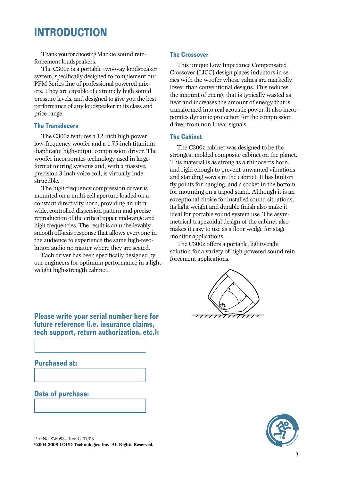# <span id="page-2-0"></span>**INTRODUCTION**

Thank you for choosing Mackie sound reinforcement loudspeakers.

The C300z is a portable two-way loudspeaker system, specifically designed to complement our PPM Series line of professional powered mixers. They are capable of extremely high sound pressure levels, and designed to give you the best performance of any loudspeaker in its class and price range.

### **The Transducers**

The C300z features a 12-inch high-power low-frequency woofer and a 1.75-inch titanium diaphragm high-output compression driver. The woofer incorporates technology used in largeformat touring systems and, with a massive, precision 3-inch voice coil, is virtually indestructible.

The high-frequency compression driver is mounted on a multi-cell aperture loaded on a constant directivity horn, providing an ultrawide, controlled dispersion pattern and precise reproduction of the critical upper mid-range and high-frequencies. The result is an unbelievably smooth off-axis response that allows everyone in the audience to experience the same high-resolution audio no matter where they are seated.

Each driver has been specifically designed by our engineers for optimum performance in a lightweight high-strength cabinet.

### **The Crossover**

This unique Low Impedance Compensated Crossover (LICC) design places inductors in series with the woofer whose values are markedly lower than conventional designs. This reduces the amount of energy that is typically wasted as heat and increases the amount of energy that is transformed into real acoustic power. It also incorporates dynamic protection for the compression driver from non-linear signals.

### **The Cabinet**

The C300z cabinet was designed to be the strongest molded composite cabinet on the planet. This material is as strong as a rhinoceros horn, and rigid enough to prevent unwanted vibrations and standing waves in the cabinet. It has built-in fly points for hanging, and a socket in the bottom for mounting on a tripod stand. Although it is an exceptional choice for installed sound situations, its light weight and durable finish also make it ideal for portable sound system use. The asymmetrical trapezoidal design of the cabinet also makes it easy to use as a floor wedge for stage monitor applications.

The C300z offers a portable, lightweight solution for a variety of high-powered sound reinforcement applications.



**Please write your serial number here for future reference (i.e. insurance claims, tech support, return authorization, etc.):**

### **Purchased at:**

**Date of purchase:**



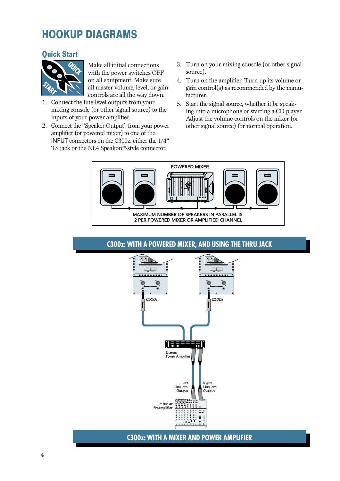# <span id="page-3-0"></span>**HOOKUP DIAGRAMS**

## **Quick Start**



Make all initial connections with the power switches OFF on all equipment. Make sure all master volume, level, or gain controls are all the way down.

- 1. Connect the line-level outputs from your mixing console (or other signal source) to the inputs of your power amplifier.
- 2. Connect the "Speaker Output" from your power amplifier (or powered mixer) to one of the INPUT connectors on the C300z, either the 1/4" TS jack or the NL4 Speakon™-style connector.
- 3. Turn on your mixing console (or other signal source).
- 4. Turn on the amplifier. Turn up its volume or gain control(s) as recommended by the manufacturer.
- 5. Start the signal source, whether it be speaking into a microphone or starting a CD player. Adjust the volume controls on the mixer (or other signal source) for normal operation.





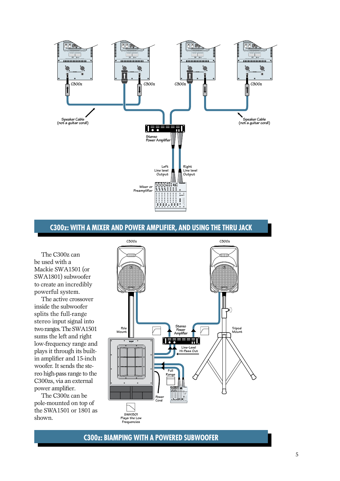

## **C300z: WITH A MIXER and POWER AMPLIFIER, and using the thru jack**

The C300z can be used with a Mackie SWA1501 (or SWA1801) subwoofer to create an incredibly powerful system.

The active crossover inside the subwoofer splits the full-range stereo input signal into two ranges. The SWA1501 sums the left and right low-frequency range and plays it through its builtin amplifier and 15-inch woofer. It sends the stereo high-pass range to the C300zs, via an external power amplifier.

The C300z can be pole-mounted on top of the SWA1501 or 1801 as shown.



**C300z: BIAMPING WITH A POWERED SUBWOOFER**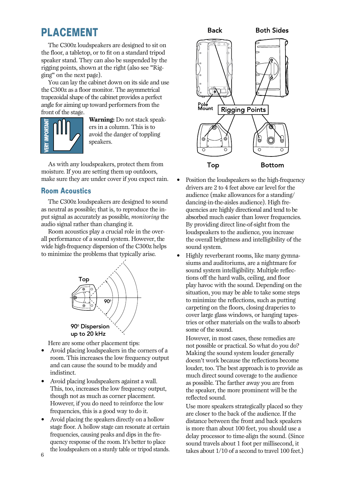# <span id="page-5-0"></span>**PLACEMENT**

The C300z loudspeakers are designed to sit on the floor, a tabletop, or to fit on a standard tripod speaker stand. They can also be suspended by the rigging points, shown at the right (also see "Rigging" on the next page).

You can lay the cabinet down on its side and use the C300z as a floor monitor. The asymmetrical trapezoidal shape of the cabinet provides a perfect angle for aiming up toward performers from the front of the stage.



**Warning:** Do not stack speakers in a column. This is to avoid the danger of toppling speakers.

As with any loudspeakers, protect them from moisture. If you are setting them up outdoors, make sure they are under cover if you expect rain.

## **Room Acoustics**

The C300z loudspeakers are designed to sound as neutral as possible; that is, to reproduce the input signal as accurately as possible, *monitoring* the audio signal rather than changing it.

Room acoustics play a crucial role in the overall performance of a sound system. However, the wide high-frequency dispersion of the C300z helps to minimize the problems that typically arise.



Here are some other placement tips:

- Avoid placing loudspeakers in the corners of a room. This increases the low frequency output and can cause the sound to be muddy and indistinct.
- Avoid placing loudspeakers against a wall. This, too, increases the low frequency output, though not as much as corner placement. However, if you do need to reinforce the low frequencies, this is a good way to do it.
- Avoid placing the speakers directly on a hollow stage floor. A hollow stage can resonate at certain frequencies, causing peaks and dips in the frequency response of the room. It's better to place the loudspeakers on a sturdy table or tripod stands.



- Position the loudspeakers so the high-frequency drivers are 2 to 4 feet above ear level for the audience (make allowances for a standing/ dancing-in-the-aisles audience). High frequencies are highly directional and tend to be absorbed much easier than lower frequencies. By providing direct line-of-sight from the loudspeakers to the audience, you increase the overall brightness and intelligibility of the sound system.
- Highly reverberant rooms, like many gymnasiums and auditoriums, are a nightmare for sound system intelligibility. Multiple reflections off the hard walls, ceiling, and floor play havoc with the sound. Depending on the situation, you may be able to take some steps to minimize the reflections, such as putting carpeting on the floors, closing draperies to cover large glass windows, or hanging tapestries or other materials on the walls to absorb some of the sound.

However, in most cases, these remedies are not possible or practical. So what do you do? Making the sound system louder generally doesn't work because the reflections become louder, too. The best approach is to provide as much direct sound coverage to the audience as possible. The farther away you are from the speaker, the more prominent will be the reflected sound.

Use more speakers strategically placed so they are closer to the back of the audience. If the distance between the front and back speakers is more than about 100 feet, you should use a delay processor to time-align the sound. (Since sound travels about 1 foot per millisecond, it takes about 1/10 of a second to travel 100 feet.)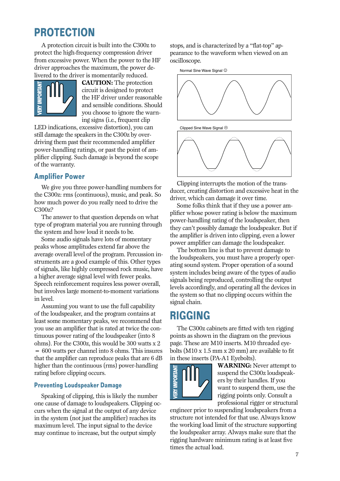# <span id="page-6-0"></span>**PROTECTION**

A protection circuit is built into the C300z to protect the high-frequency compression driver from excessive power. When the power to the HF driver approaches the maximum, the power delivered to the driver is momentarily reduced.



**CAUTION:** The protection circuit is designed to protect the HF driver under reasonable and sensible conditions. Should you choose to ignore the warning signs (i.e., frequent clip

LED indications, excessive distortion), you can still damage the speakers in the C300z by overdriving them past their recommended amplifier power-handling ratings, or past the point of amplifier clipping. Such damage is beyond the scope of the warranty.

## **Amplifier Power**

We give you three power-handling numbers for the C300z: rms (continuous), music, and peak. So how much power do you really need to drive the C300z?

The answer to that question depends on what type of program material you are running through the system and how loud it needs to be.

Some audio signals have lots of momentary peaks whose amplitudes extend far above the average overall level of the program. Percussion instruments are a good example of this. Other types of signals, like highly compressed rock music, have a higher average signal level with fewer peaks. Speech reinforcement requires less power overall, but involves large moment-to-moment variations in level.

Assuming you want to use the full capability of the loudspeaker, and the program contains at least some momentary peaks, we recommend that you use an amplifier that is rated at twice the continuous power rating of the loudspeaker (into 8 ohms). For the C300z, this would be 300 watts x 2 = 600 watts per channel into 8 ohms. This insures that the amplifier can reproduce peaks that are 6 dB higher than the continuous (rms) power-handling rating before clipping occurs.

### **Preventing Loudspeaker Damage**

Speaking of clipping, this is likely the number one cause of damage to loudspeakers. Clipping occurs when the signal at the output of any device in the system (not just the amplifier) reaches its maximum level. The input signal to the device may continue to increase, but the output simply

stops, and is characterized by a "flat-top" appearance to the waveform when viewed on an oscilloscope.



Clipping interrupts the motion of the transducer, creating distortion and excessive heat in the driver, which can damage it over time.

Some folks think that if they use a power amplifier whose power rating is below the maximum power-handling rating of the loudspeaker, then they can't possibly damage the loudspeaker. But if the amplifier is driven into clipping, even a lower power amplifier can damage the loudspeaker.

The bottom line is that to prevent damage to the loudspeakers, you must have a properly operating sound system. Proper operation of a sound system includes being aware of the types of audio signals being reproduced, controlling the output levels accordingly, and operating all the devices in the system so that no clipping occurs within the signal chain.

# **RIGGING**

The C300z cabinets are fitted with ten rigging points as shown in the diagram on the previous page. These are M10 inserts. M10 threaded eyebolts (M10 x 1.5 mm x 20 mm) are available to fit in these inserts (PA-A1 Eyebolts).



**WARNING:** Never attempt to suspend the C300z loudspeakers by their handles. If you want to suspend them, use the rigging points only. Consult a professional rigger or structural

engineer prior to suspending loudspeakers from a structure not intended for that use. Always know the working load limit of the structure supporting the loudspeaker array. Always make sure that the rigging hardware minimum rating is at least five times the actual load.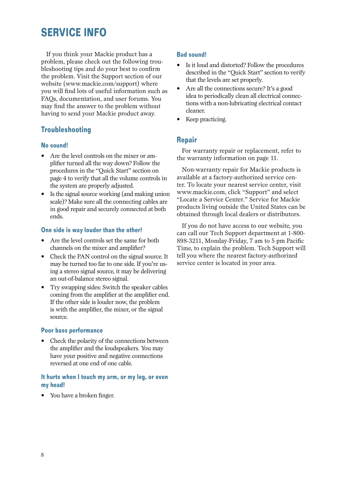# <span id="page-7-0"></span>**SERVICE INFO**

If you think your Mackie product has a problem, please check out the following troubleshooting tips and do your best to confirm the problem. Visit the Support section of our website (www.mackie.com/support) where you will find lots of useful information such as FAQs, documentation, and user forums. You may find the answer to the problem without having to send your Mackie product away.

## **Troubleshooting**

### **No sound!**

- Are the level controls on the mixer or amplifier turned all the way down? Follow the procedures in the "Quick Start" section on page 4 to verify that all the volume controls in the system are properly adjusted.
- Is the signal source working (and making union scale)? Make sure all the connecting cables are in good repair and securely connected at both ends.

### **One side is way louder than the other!**

- Are the level controls set the same for both channels on the mixer and amplifier?
- Check the PAN control on the signal source. It may be turned too far to one side. If you're using a stereo signal source, it may be delivering an out-of-balance stereo signal.
- Try swapping sides: Switch the speaker cables coming from the amplifier at the amplifier end. If the other side is louder now, the problem is with the amplifier, the mixer, or the signal source.

### **Poor bass performance**

• Check the polarity of the connections between the amplifier and the loudspeakers. You may have your positive and negative connections reversed at one end of one cable.

### **It hurts when I touch my arm, or my leg, or even my head!**

• You have a broken finger.

### **Bad sound!**

- Is it loud and distorted? Follow the procedures described in the "Quick Start" section to verify that the levels are set properly.
- Are all the connections secure? It's a good idea to periodically clean all electrical connections with a non-lubricating electrical contact cleaner.
- Keep practicing.

## **Repair**

For warranty repair or replacement, refer to the warranty information on page 11.

Non-warranty repair for Mackie products is available at a factory-authorized service center. To locate your nearest service center, visit [www.mackie.com,](http://www.mackie.com) click "Support" and select "Locate a Service Center." Service for Mackie products living outside the United States can be obtained through local dealers or distributors.

If you do not have access to our website, you can call our Tech Support department at 1-800- 898-3211, Monday-Friday, 7 am to 5 pm Pacific Time, to explain the problem. Tech Support will tell you where the nearest factory-authorized service center is located in your area.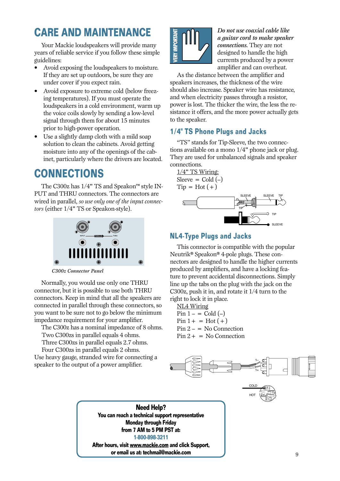# <span id="page-8-0"></span>**CARE AND MAINTENANCE**

Your Mackie loudspeakers will provide many years of reliable service if you follow these simple guidelines:

- Avoid exposing the loudspeakers to moisture. If they are set up outdoors, be sure they are under cover if you expect rain.
- Avoid exposure to extreme cold (below freezing temperatures). If you must operate the loudspeakers in a cold environment, warm up the voice coils slowly by sending a low-level signal through them for about 15 minutes prior to high-power operation.
- Use a slightly damp cloth with a mild soap solution to clean the cabinets. Avoid getting moisture into any of the openings of the cabinet, particularly where the drivers are located.

# **CONNECTIONS**

The C300z has 1/4" TS and Speakon™ style IN-PUT and THRU connectors. The connectors are wired in parallel, *so use only one of the input connectors* (either 1/4" TS or Speakon-style).



*C300z Connector Panel*

Normally, you would use only one THRU connector, but it is possible to use both THRU connectors. Keep in mind that all the speakers are connected in parallel through these connectors, so you want to be sure not to go below the minimum impedance requirement for your amplifier.

The C300z has a nominal impedance of 8 ohms. Two C300zs in parallel equals 4 ohms.

Three C300zs in parallel equals 2.7 ohms.

Four C300zs in parallel equals 2 ohms. Use heavy gauge, stranded wire for connecting a speaker to the output of a power amplifier.



*Do not use coaxial cable like a guitar cord to make speaker connections.* They are not designed to handle the high currents produced by a power amplifier and can overheat.

As the distance between the amplifier and speakers increases, the thickness of the wire should also increase. Speaker wire has resistance, and when electricity passes through a resistor, power is lost. The thicker the wire, the less the resistance it offers, and the more power actually gets to the speaker.

## **1/4" TS Phone Plugs and Jacks**

"TS" stands for Tip-Sleeve, the two connections available on a mono 1/4" phone jack or plug. They are used for unbalanced signals and speaker connections.

1/4" TS Wiring: Sleeve =  $\text{Cold}(-)$  $Tip = Hot (+)$ 



## **NL4-Type Plugs and Jacks**

This connector is compatible with the popular Neutrik® Speakon® 4-pole plugs. These connectors are designed to handle the higher currents produced by amplifiers, and have a locking feature to prevent accidental disconnections. Simply line up the tabs on the plug with the jack on the C300z, push it in, and rotate it 1/4 turn to the right to lock it in place.

NL4 Wiring Pin  $1 - \text{ = Cold } (-)$  $Pin 1+ = Hot (+)$  $Pin 2 - No$  Connection  $Pin 2+ = No$  Connection



**Need Help? You can reach a technical support representative Monday through Friday from 7 AM to 5 PM PST at: 1-800-898-3211 After hours, visit [www.mackie.com](http://www.mackie.com) and click Support, or email us at: techmail@mackie.com**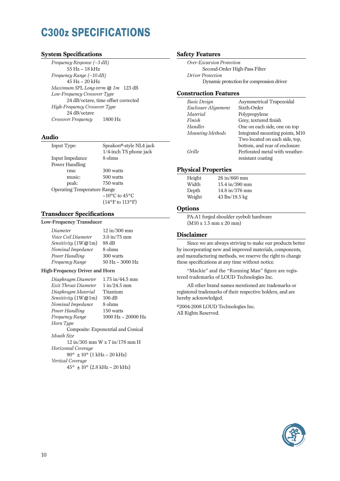# <span id="page-9-0"></span>**C300z SPECIFICATIONS**

### **System Specifications**

*Frequency Response (–3 dB)* 55 Hz – 18 kHz *Frequency Range (–10 dB)* 45 Hz – 20 kHz *Maximum SPL Long-term @ 1m* 123 dB *Low-Frequency Crossover Type* 24 dB/octave, time offset corrected *High-Frequency Crossover Type* 24 dB/octave *Crossover Frequency* 1800 Hz

### **Audio**

| Input Type:                        | Speakon®-style NL4 jack             |
|------------------------------------|-------------------------------------|
|                                    | 1/4-inch TS phone jack              |
| Input Impedance                    | 8 ohms                              |
| Power Handling                     |                                     |
| rms:                               | 300 watts                           |
| music:                             | 500 watts                           |
| peak:                              | 750 watts                           |
| <b>Operating Temperature Range</b> |                                     |
|                                    | $-10^{\circ}$ C to 45 $^{\circ}$ C  |
|                                    | $(14^{\circ}$ F to $113^{\circ}$ F) |

#### **Transducer Specifications**

#### Low-Frequency Transducer

| Diameter              | $12 \text{ in} / 300 \text{ mm}$ |
|-----------------------|----------------------------------|
|                       |                                  |
| Voice Coil Diameter   | $3.0 \text{ in} / 75 \text{ mm}$ |
| Sensitivity $(1W@1m)$ | 98 dB                            |
| Nominal Impedance     | 8 ohms                           |
| Power Handling        | 300 watts                        |
| Frequency Range       | $50$ Hz $- 3000$ Hz              |

#### High-Frequency Driver and Horn

|                                                    | $1.75$ in/44.5 mm                  |  |
|----------------------------------------------------|------------------------------------|--|
| Diaphragm Diameter                                 |                                    |  |
| Exit Throat Diameter                               | 1 in/24.5 mm                       |  |
| Diaphragm Material                                 | Titanium                           |  |
| <i>Sensitivity</i> $(1W@1m)$                       | 106 dB                             |  |
| Nominal Impedance                                  | 8 ohms                             |  |
| Power Handling                                     | 150 watts                          |  |
| Frequency Range                                    | 1000 Hz - 20000 Hz                 |  |
| Horn Type                                          |                                    |  |
|                                                    | Composite: Exponential and Conical |  |
| Mouth Size                                         |                                    |  |
| $12 \text{ in} / 305 \text{ mm}$ W x 7 in/178 mm H |                                    |  |
| Horizontal Coverage                                |                                    |  |
| $90^{\circ} \pm 10^{\circ}$ (1 kHz – 20 kHz)       |                                    |  |
| Vertical Coverage                                  |                                    |  |
| $45^{\circ} \pm 10^{\circ}$ (2.8 kHz – 20 kHz)     |                                    |  |

#### **Safety Features**

*Over-Excursion Protection* Second-Order High-Pass Filter *Driver Protection* Dynamic protection for compression driver

#### **Construction Features**

| <b>Basic Design</b> | Asymmetrical Trapezoidal        |
|---------------------|---------------------------------|
| Enclosure Alignment | Sixth-Order                     |
| Material            | Polypropylene                   |
| Finish              | Grey, textured finish           |
| Handles             | One on each side, one on top    |
| Mounting Methods    | Integrated mounting points, M10 |
|                     | Two located on each side, top,  |
|                     | bottom, and rear of enclosure   |
| Grille              | Perforated metal with weather-  |
|                     | resistant coating               |
|                     |                                 |

#### **Physical Properties**

| Height | 26 in/660 mm     |
|--------|------------------|
| Width  | 15.4 in/390 mm   |
| Depth  | 14.8 in/376 mm   |
| Weight | $43$ lbs/19.5 kg |

#### **Options**

PA-A1 forged shoulder eyebolt hardware (M10 x 1.5 mm x 20 mm)

#### **Disclaimer**

Since we are always striving to make our products better by incorporating new and improved materials, components, and manufacturing methods, we reserve the right to change these specifications at any time without notice.

"Mackie" and the "Running Man" figure are registered trademarks of LOUD Technologies Inc.

All other brand names mentioned are trademarks or registered trademarks of their respective holders, and are hereby acknowledged.

©2004-2008 LOUD Technologies Inc. All Rights Reserved.

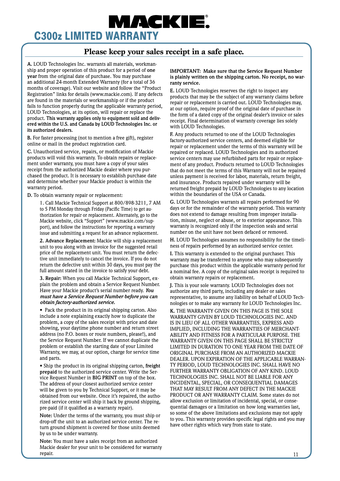# <span id="page-10-0"></span>WACKIE **C300z LIMITED WARRANTY**

## **Please keep your sales receipt in a safe place.**

**A.** LOUD Technologies Inc. warrants all materials, workmanship and proper operation of this product for a period of **one year** from the original date of purchase. You may purchase an additional 24-month Extended Warranty (for a total of 36 months of coverage). Visit our website and follow the "Product Registration" links for detai[ls \(www.mackie.com\).](http://www.mackie.com) If any defects are found in the materials or workmanship or if the product fails to function properly during the applicable warranty period, LOUD Technologies, at its option, will repair or replace the product. **This warranty applies only to equipment sold and delivered within the U.S. and Canada by LOUD Technologies Inc. or its authorized dealers.**

**B.** For faster processing (not to mention a free gift), register online or mail in the product registration card.

**C.** Unauthorized service, repairs, or modification of Mackie products will void this warranty. To obtain repairs or replacement under warranty, you must have a copy of your sales receipt from the authorized Mackie dealer where you purchased the product. It is necessary to establish purchase date and determine whether your Mackie product is within the warranty period.

**D.** To obtain warranty repair or replacement:

1. Call Mackie Technical Support at 800/898-3211, 7 AM to 5 PM Monday through Friday (Pacific Time) to get authorization for repair or replacement. Alternately, go to the Mackie website, click "Support" (www.mackie.com/support), and follow the instructions for reporting a warranty issue and submitting a request for an advance replacement.

**2. Advance Replacement:** Mackie will ship a replacement unit to you along with an invoice for the suggested retail price of the replacement unit. You must return the defective unit immediately to cancel the invoice. If you do not return the defective unit within 30 days, you must pay the full amount stated in the invoice to satisfy your debt.

**3. Repair:** When you call Mackie Technical Support, explain the problem and obtain a Service Request Number. Have your Mackie product's serial number ready. *You must have a Service Request Number before you can obtain factory-authorized service.*

• Pack the product in its original shipping carton. Also include a note explaining exactly how to duplicate the problem, a copy of the sales receipt with price and date showing, your daytime phone number and return street address (no P.O. boxes or route numbers, please!), and the Service Request Number. If we cannot duplicate the problem or establish the starting date of your Limited Warranty, we may, at our option, charge for service time and parts.

• Ship the product in its original shipping carton, **freight prepaid** to the authorized service center. Write the Service Request Number in **BIG PRINT** on top of the box. The address of your closest authorized service center will be given to you by Technical Support, or it may be obtained from our website. Once it's repaired, the authorized service center will ship it back by ground shipping, pre-paid (if it qualified as a warranty repair).

**Note:** Under the terms of the warranty, you must ship or drop-off the unit to an authorized service center. The return ground shipment is covered for those units deemed by us to be under warranty.

**Note:** You must have a sales receipt from an authorized Mackie dealer for your unit to be considered for warranty repair.

#### **IMPORTANT: Make sure that the Service Request Number is plainly written on the shipping carton. No receipt, no warranty service.**

**E.** LOUD Technologies reserves the right to inspect any products that may be the subject of any warranty claims before repair or replacement is carried out. LOUD Technologies may, at our option, require proof of the original date of purchase in the form of a dated copy of the original dealer's invoice or sales receipt. Final determination of warranty coverage lies solely with LOUD Technologies.

**F.** Any products returned to one of the LOUD Technologies factory-authorized service centers, and deemed eligible for repair or replacement under the terms of this warranty will be repaired or replaced. LOUD Technologies and its authorized service centers may use refurbished parts for repair or replacement of any product. Products returned to LOUD Technologies that do not meet the terms of this Warranty will not be repaired unless payment is received for labor, materials, return freight, and insurance. Products repaired under warranty will be returned freight prepaid by LOUD Technologies to any location within the boundaries of the USA or Canada.

**G.** LOUD Technologies warrants all repairs performed for 90 days or for the remainder of the warranty period. This warranty does not extend to damage resulting from improper installation, misuse, neglect or abuse, or to exterior appearance. This warranty is recognized only if the inspection seals and serial number on the unit have not been defaced or removed.

**H.** LOUD Technologies assumes no responsibility for the timeliness of repairs performed by an authorized service center.

**I.** This warranty is extended to the original purchaser. This warranty may be transferred to anyone who may subsequently purchase this product within the applicable warranty period for a nominal fee. A copy of the original sales receipt is required to obtain warranty repairs or replacement.

**J.** This is your sole warranty. LOUD Technologies does not authorize any third party, including any dealer or sales representative, to assume any liability on behalf of LOUD Technologies or to make any warranty for LOUD Technologies Inc.

**K.** THE WARRANTY GIVEN ON THIS PAGE IS THE SOLE WARRANTY GIVEN BY LOUD TECHNOLOGIES INC. AND IS IN LIEU OF ALL OTHER WARRANTIES, EXPRESS AND IMPLIED, INCLUDING THE WARRANTIES OF MERCHANT-ABILITY AND FITNESS FOR A PARTICULAR PURPOSE. THE WARRANTY GIVEN ON THIS PAGE SHALL BE STRICTLY LIMITED IN DURATION TO ONE YEAR FROM THE DATE OF ORIGINAL PURCHASE FROM AN AUTHORIZED MACKIE DEALER. UPON EXPIRATION OF THE APPLICABLE WARRAN-TY PERIOD, LOUD TECHNOLOGIES INC. SHALL HAVE NO FURTHER WARRANTY OBLIGATION OF ANY KIND. LOUD TECHNOLOGIES INC. SHALL NOT BE LIABLE FOR ANY INCIDENTAL, SPECIAL, OR CONSEQUENTIAL DAMAGES THAT MAY RESULT FROM ANY DEFECT IN THE MACKIE PRODUCT OR ANY WARRANTY CLAIM. Some states do not allow exclusion or limitation of incidental, special, or consequential damages or a limitation on how long warranties last, so some of the above limitations and exclusions may not apply to you. This warranty provides specific legal rights and you may have other rights which vary from state to state.